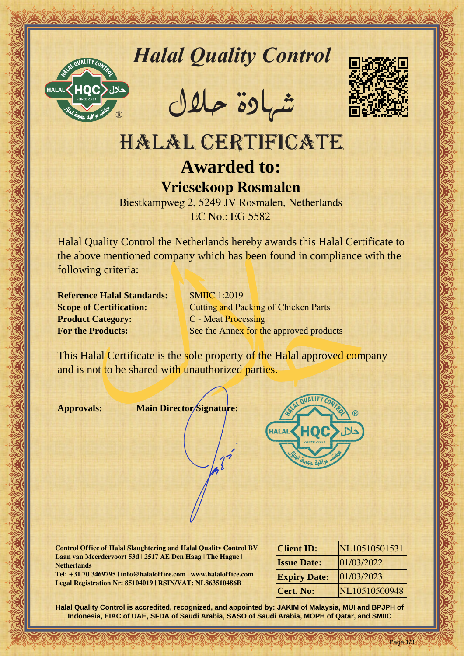

*Halal Quality Control*

REACTOR AND THE REAL PROPERTY OF THE REAL PROPERTY

�شهادة حالل



# HALAL CERTIFICATE **Awarded to: Vriesekoop Rosmalen**

Biestkampweg 2, 5249 JV Rosmalen, Netherlands EC No.: EG 5582

Hallal Quality Control magnetic and Control of the Control of the Case of the Case of the Case of the Case of the Case of the Case of the Case of the Case of the Case of the Case of the Case of the Case of the Case of the Halal Quality Control the Netherlands hereby awards this Halal Certificate to the above mentioned company which has been found in compliance with the following criteria:

**Reference Halal Standards:** SMIIC 1:2019 **Product Category:** C - Meat Processing

**Scope of Certification:** Cutting and Packing of Chicken Parts **For the Products:** See the Annex for the approved products

This Halal Certificate is the sole property of the Halal approved company and is not to be shared with unauthorized parties.

**Approvals: Main Director Signature:**



**Control Office of Halal Slaughtering and Halal Quality Control BV Laan van Meerdervoort 53d | 2517 AE Den Haag | The Hague | Netherlands**

**Tel: +31 70 3469795 | info@halaloffice.com | www.halaloffice.com Legal Registration Nr: 85104019 | RSIN/VAT: NL863510486B**

| <b>Client ID:</b>   | NL10510501531 |
|---------------------|---------------|
| <b>Issue Date:</b>  | 01/03/2022    |
| <b>Expiry Date:</b> | 01/03/2023    |
| <b>Cert. No:</b>    | NL10510500948 |

Page 1/3

**Halal Quality Control is accredited, recognized, and appointed by: JAKIM of Malaysia, MUI and BPJPH of Indonesia, EIAC of UAE, SFDA of Saudi Arabia, SASO of Saudi Arabia, MOPH of Qatar, and SMIIC**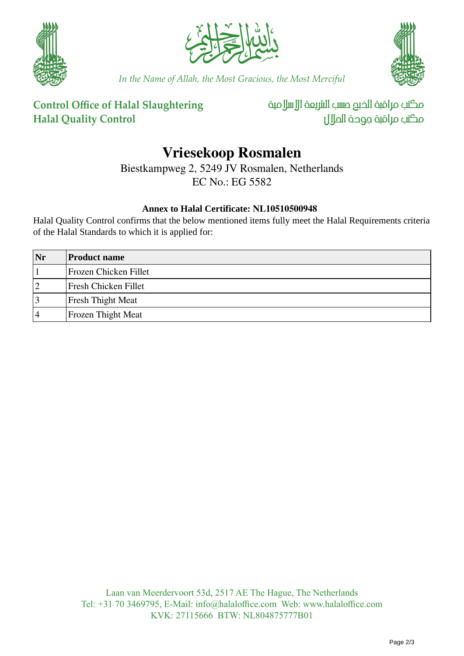





*In the Name of Allah, the Most Gracious, the Most Merciful*

### **Control Office of Halal Slaughtering Halal Quality Control**

مكتب مراقبة الذبم صسب الشريعة الإسلامية مكتب مراقبة جودة المالل

## **Vriesekoop Rosmalen**

Biestkampweg 2, 5249 JV Rosmalen, Netherlands

EC No.: EG 5582

#### **Annex to Halal Certificate: NL10510500948**

Halal Quality Control confirms that the below mentioned items fully meet the Halal Requirements criteria of the Halal Standards to which it is applied for:

| Nr | <b>Product name</b>         |
|----|-----------------------------|
|    | Frozen Chicken Fillet       |
| 12 | <b>Fresh Chicken Fillet</b> |
| 3  | Fresh Thight Meat           |
| 4  | <b>Frozen Thight Meat</b>   |